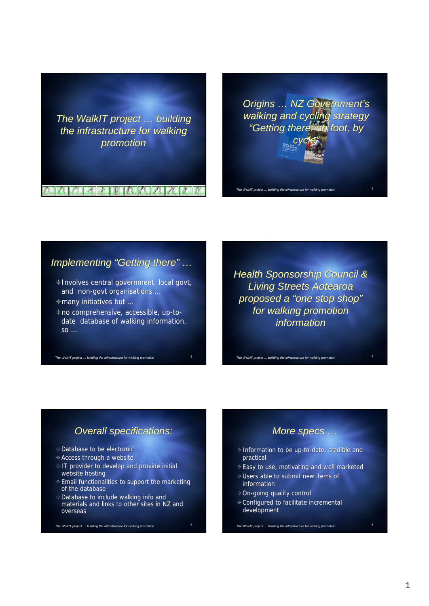

#### A A A A A RAMA A A Z Z Z

*Origins … NZ Government's Origins … NZ "Getting there: on foot, by walking and cycling strategy "Getting there: on foot, by cycle"*



#### *Implementing "Getting there" …*

- Involves central government, local govt, Involves central government, local govt, and non-govt and non-govt organisations …
- many initiatives but … many initiatives but …

*The WalkIT project ... building the infrastructure for walking promation* 

no comprehensive, accessible, up-to-no comprehensive, accessible, up-todate database of walking information, date database of walking information, so … so …

*Health Sponsorship Council & Living Streets Aotearoa proposed a "one stop shop" Health Council & Living Streets Aotearoa proposed a "one stop shop" for walking promotion for walking information*

## *Overall specifications: Overall specifications:*

- Database to be electronic Database to be electronic
- Access through a website Access through a website
- $\triangle$  IT provider to develop and provide initial website hosting website hosting
- Email functionalities to support the marketing Email functionalities to support the marketing of the database of the database
- Database to include walking info and materials and links to other sites in NZ and overseas Database to include walking info and<br>materials and links to other sites in NZ and<br>overseas

*The WalkIT project ... building the infrastructure for walking promotion* 

#### *More specs …*

- $\triangle$  Information to be up-to-date, credible and practical
- Easy to use, motivating and well marketed Easy to use, motivating and well marketed
- Users able to submit new items of Users able to submit new items of information

*The WalkIT project ... building the infrastructure for walking promotion* 

- On-going quality control
- Configured to facilitate incremental Configured to development development

*The WalkIT project … building the infrastructure for walking promotion* 6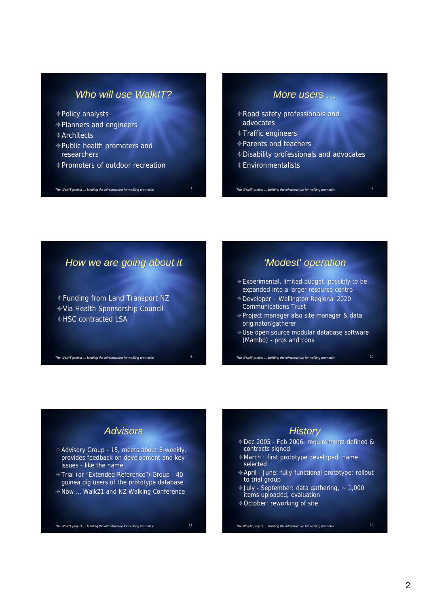## *Who will use WalkIT?*

- Policy analysts Policy analysts
- Planners and engineers Planners and engineers
- Architects Architects
- Public health promoters and Public health promoters and researchers researchers
- Promoters of outdoor recreation

The WalkIT project ... building the infrastructure for walking prom

### *More users …*

- Road safety professionals and Road safety professionals advocates advocates
- Traffic engineers Traffic
- Parents and teachers Parents and teachers

*The WalkIT project ... building the infrastructure for walking profilering* 

- Disability professionals and advocates Disability professionals and advocates
- Environmentalists Environmentalists

*How we are going about it How we are going about it*

Funding from Land Transport NZ Funding from Land Transport NZVia Health Sponsorship Council Via Health Sponsorship Council HSC contracted LSA HSC contracted

*The WalkIT project ... building the infrastructure for walking pr* 

### *'Modest' operation*

- Experimental, limited budget, possibly to be ⊕ Experimental, limited budget, possibly to be<br>expanded into a larger resource centre
- Developer Wellington Regional 2020 Developer Wellington Regional Communications Trust Communications Trust
- Project manager also site manager & data Project manager also site manager & data originator/gatherer originator/gatherer
- $\triangleq$  Use open source modular database software (Mambo) - pros and cons (Mambo) - pros and cons

*The WalkIT project … building the infrastructure for walking promotion* 10

### *Advisors*

- Advisory Group 15, meets about 6-weekly, Advisory Group 15, meets 6-weekly, provides feedback on development and key provides feedback on development and key issues - like the name issues - like the name
- Trial (or "Extended Reference") Group 40 Trial (or "Extended Reference") Group 40 guinea pig users of the prototype database
- Now … Walk21 and NZ Walking Conference Now … Walk21 and NZ Walking Conference

*The WalkIT project … building the infrastructure for walking promotion* 11

# *History*

- Dec 2005 Feb 2006: requirements defined & Dec 2005 Feb 2006: requirements defined & contracts signed contracts signed
- March : first prototype developed, name March : first prototype developed, name selected selected
- April June: fully-functional prototype; rollout April June: fully-functional prototype; rollout to trial group to trial
- July September: data gathering, ~ 1,000 July September: data gathering, ~ 1,000 items uploaded, evaluation items uploaded, evaluation

*The WalkIT project … building the infrastructure for walking promotion* 12

October: reworking of site October: reworking of site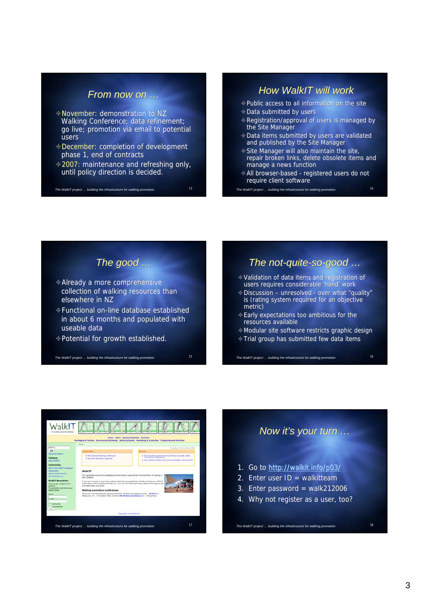### *From now on …*

- November: demonstration to NZ November: demonstration to NZ Walking Conference; data refinement; go live; promotion via email to potential go live; potential users users
- December: completion of development December: completion of development phase 1, end of contracts phase 1, end of contracts
- 2007: maintenance and refreshing only, 2007: maintenance and refreshing until policy direction is decided.until policy direction is decided.

*The WalkIT project … building the infrastructure for walking promotion* 13

#### *How WalkIT will work*

- Public access to all information on the site Public access to all information on the site  $\triangle$  Data submitted by users
- ⊕ Data submitted by users<br>⊕ Registration/approval of users is managed by the Site Manager the Site Manager
- Data items submitted by users are validated and published by the Site Manager  $\triangle$  Data items submitted by users are validated and published by the Site Manager
- $\triangle$  Site Manager will also maintain the site, repair broken links, delete obsolete items and manage a news function Site Manager will also maintain the site,<br>repair broken links, delete obsolete items and<br>manage a news function
- All browser-based registered users do not All browser-based registered users do not require client software require client software

*The WalkIT project ... building the infrastructure for walking prom* 

### *The good …*

- Already a more comprehensive Already a more comprehensive collection of walking resources than elsewhere in NZ elsewhere NZ
- Functional on-line database established in about 6 months and populated with useable data useable data

*The WalkIT project … building the infrastructure for walking promotion* 15

Potential for growth established. growth established.

## *The not-quite-so-good …*

- Validation of data items and registration of Validation of data items and registration of users requires considerable 'hand' work users requires
- Discussion unresolved over what "quality" is (rating system required for an objective metric) Discussion – unresolved - over what "quali<br>is (rating system required for an objective<br>metric)
- Early expectations too ambitious for the Early too ambitious the resources availableresources available
- Modular site software restricts graphic design Modular site software design

*The WalkIT project … building the infrastructure for walking promotion* 16

Trial group has submitted few data items Trial group has submitted few data items



#### *Now it's your turn …*

- 1. Go to http://walkit.info/p03/
- 2. Enter user  $ID = walkitteam$
- 3. Enter password = walk212006
- 4. Why not register as a user, too?